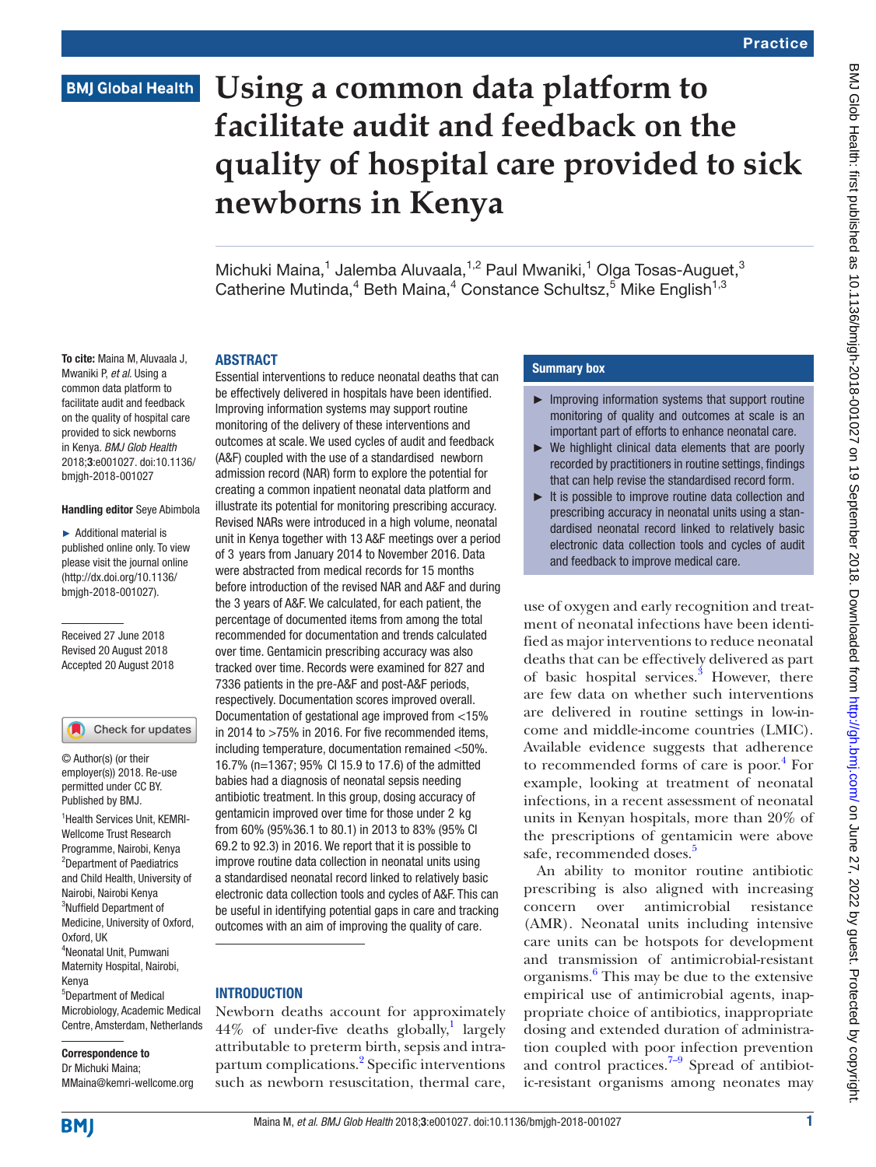# **BMJ Global Health**

# **Using a common data platform to facilitate audit and feedback on the quality of hospital care provided to sick newborns in Kenya**

Michuki Maina,<sup>1</sup> Jalemba Aluvaala,<sup>1,2</sup> Paul Mwaniki,<sup>1</sup> Olga Tosas-Auguet,<sup>3</sup> Catherine Mutinda,<sup>4</sup> Beth Maina,<sup>4</sup> Constance Schultsz,<sup>5</sup> Mike English<sup>1,3</sup>

#### **ARSTRACT**

To cite: Maina M, Aluvaala J, Mwaniki P, *et al*. Using a common data platform to facilitate audit and feedback on the quality of hospital care provided to sick newborns in Kenya. *BMJ Glob Health* 2018;3:e001027. doi:10.1136/ bmjgh-2018-001027

#### Handling editor Seye Abimbola

► Additional material is published online only. To view please visit the journal online ([http://dx.doi.org/10.1136/](http://dx.doi.org/10.1136/bmjgh-2018-001027) [bmjgh-2018-001027\)](http://dx.doi.org/10.1136/bmjgh-2018-001027).

Received 27 June 2018 Revised 20 August 2018 Accepted 20 August 2018

#### Check for updates

© Author(s) (or their employer(s)) 2018. Re-use permitted under CC BY. Published by BMJ.

<sup>1</sup> Health Services Unit, KEMRI-Wellcome Trust Research Programme, Nairobi, Kenya <sup>2</sup>Department of Paediatrics and Child Health, University of Nairobi, Nairobi Kenya <sup>3</sup>Nuffield Department of Medicine, University of Oxford, Oxford, UK 4 Neonatal Unit, Pumwani Maternity Hospital, Nairobi, Kenya 5 Department of Medical Microbiology, Academic Medical Centre, Amsterdam, Netherlands

# Correspondence to

Dr Michuki Maina; MMaina@kemri-wellcome.org

Essential interventions to reduce neonatal deaths that can be effectively delivered in hospitals have been identified. Improving information systems may support routine monitoring of the delivery of these interventions and outcomes at scale. We used cycles of audit and feedback (A&F) coupled with the use of a standardised newborn admission record (NAR) form to explore the potential for creating a common inpatient neonatal data platform and illustrate its potential for monitoring prescribing accuracy. Revised NARs were introduced in a high volume, neonatal unit in Kenya together with 13 A&F meetings over a period of 3 years from January 2014 to November 2016. Data were abstracted from medical records for 15 months before introduction of the revised NAR and A&F and during the 3 years of A&F. We calculated, for each patient, the percentage of documented items from among the total recommended for documentation and trends calculated over time. Gentamicin prescribing accuracy was also tracked over time. Records were examined for 827 and 7336 patients in the pre-A&F and post-A&F periods, respectively. Documentation scores improved overall. Documentation of gestational age improved from <15% in 2014 to >75% in 2016. For five recommended items, including temperature, documentation remained <50%. 16.7% (n=1367; 95% CI 15.9 to 17.6) of the admitted babies had a diagnosis of neonatal sepsis needing antibiotic treatment. In this group, dosing accuracy of gentamicin improved over time for those under 2 kg from 60% (95%36.1 to 80.1) in 2013 to 83% (95% CI 69.2 to 92.3) in 2016. We report that it is possible to improve routine data collection in neonatal units using a standardised neonatal record linked to relatively basic electronic data collection tools and cycles of A&F. This can be useful in identifying potential gaps in care and tracking outcomes with an aim of improving the quality of care.

### **INTRODUCTION**

Newborn deaths account for approximately  $44\%$  of under-five deaths globally,<sup>[1](#page-5-0)</sup> largely attributable to preterm birth, sepsis and intrapartum complications.<sup>2</sup> Specific interventions such as newborn resuscitation, thermal care,

#### Summary box

- ► Improving information systems that support routine monitoring of quality and outcomes at scale is an important part of efforts to enhance neonatal care.
- ► We highlight clinical data elements that are poorly recorded by practitioners in routine settings, findings that can help revise the standardised record form.
- ► It is possible to improve routine data collection and prescribing accuracy in neonatal units using a standardised neonatal record linked to relatively basic electronic data collection tools and cycles of audit and feedback to improve medical care.

use of oxygen and early recognition and treatment of neonatal infections have been identified as major interventions to reduce neonatal deaths that can be effectively delivered as part of basic hospital services.<sup>[3](#page-5-2)</sup> However, there are few data on whether such interventions are delivered in routine settings in low-income and middle-income countries (LMIC). Available evidence suggests that adherence to recommended forms of care is poor.<sup>[4](#page-5-3)</sup> For example, looking at treatment of neonatal infections, in a recent assessment of neonatal units in Kenyan hospitals, more than 20% of the prescriptions of gentamicin were above safe, recommended doses.<sup>[5](#page-5-4)</sup>

An ability to monitor routine antibiotic prescribing is also aligned with increasing concern over antimicrobial resistance (AMR). Neonatal units including intensive care units can be hotspots for development and transmission of antimicrobial-resistant organisms.<sup>[6](#page-5-5)</sup> This may be due to the extensive empirical use of antimicrobial agents, inappropriate choice of antibiotics, inappropriate dosing and extended duration of administration coupled with poor infection prevention and control practices. $7-9$  Spread of antibiotic-resistant organisms among neonates may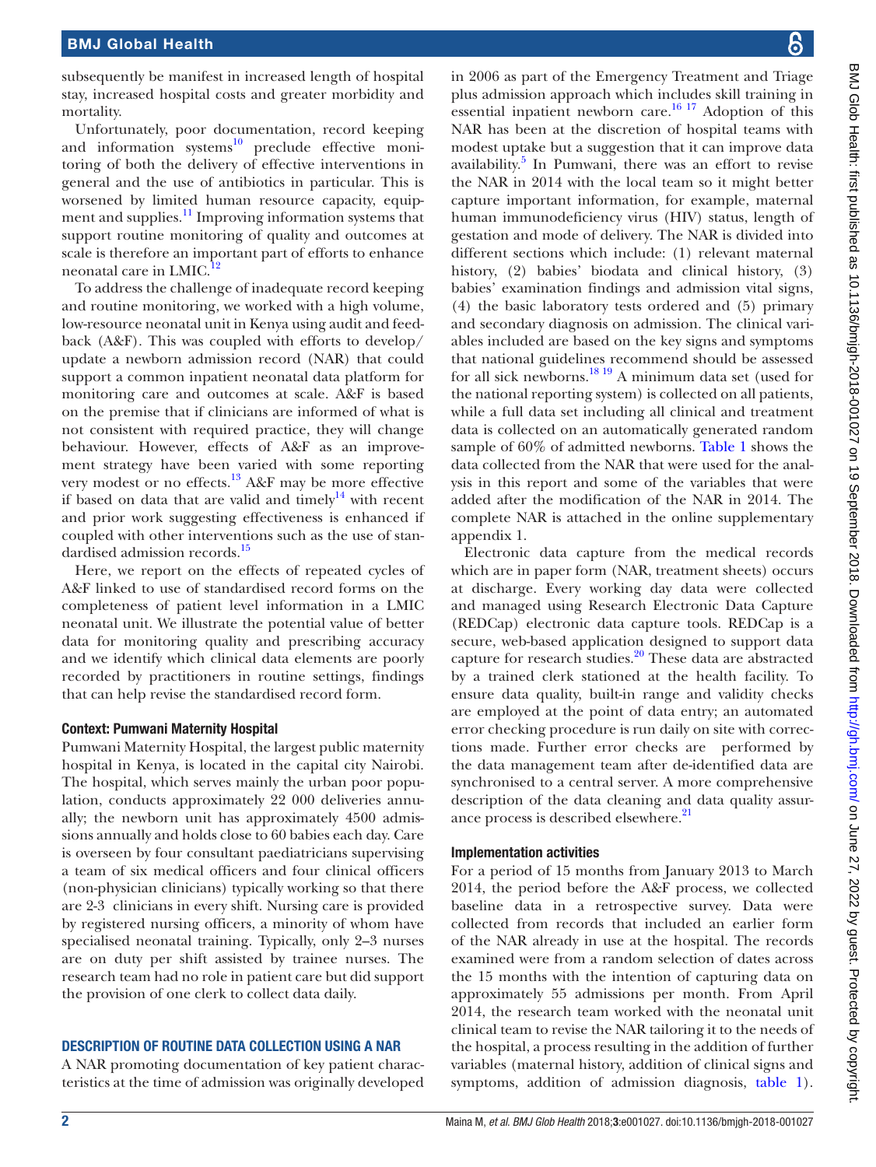subsequently be manifest in increased length of hospital stay, increased hospital costs and greater morbidity and mortality.

Unfortunately, poor documentation, record keeping and information systems $^{10}$  preclude effective monitoring of both the delivery of effective interventions in general and the use of antibiotics in particular. This is worsened by limited human resource capacity, equip-ment and supplies.<sup>[11](#page-6-2)</sup> Improving information systems that support routine monitoring of quality and outcomes at scale is therefore an important part of efforts to enhance neonatal care in LMIC.<sup>12</sup>

To address the challenge of inadequate record keeping and routine monitoring, we worked with a high volume, low-resource neonatal unit in Kenya using audit and feedback (A&F). This was coupled with efforts to develop/ update a newborn admission record (NAR) that could support a common inpatient neonatal data platform for monitoring care and outcomes at scale. A&F is based on the premise that if clinicians are informed of what is not consistent with required practice, they will change behaviour. However, effects of A&F as an improvement strategy have been varied with some reporting very modest or no effects.<sup>13</sup> A&F may be more effective if based on data that are valid and timely $14$  with recent and prior work suggesting effectiveness is enhanced if coupled with other interventions such as the use of stan-dardised admission records.<sup>[15](#page-6-6)</sup>

Here, we report on the effects of repeated cycles of A&F linked to use of standardised record forms on the completeness of patient level information in a LMIC neonatal unit. We illustrate the potential value of better data for monitoring quality and prescribing accuracy and we identify which clinical data elements are poorly recorded by practitioners in routine settings, findings that can help revise the standardised record form.

#### Context: Pumwani Maternity Hospital

Pumwani Maternity Hospital, the largest public maternity hospital in Kenya, is located in the capital city Nairobi. The hospital, which serves mainly the urban poor population, conducts approximately 22 000 deliveries annually; the newborn unit has approximately 4500 admissions annually and holds close to 60 babies each day. Care is overseen by four consultant paediatricians supervising a team of six medical officers and four clinical officers (non-physician clinicians) typically working so that there are 2-3 clinicians in every shift. Nursing care is provided by registered nursing officers, a minority of whom have specialised neonatal training. Typically, only 2–3 nurses are on duty per shift assisted by trainee nurses. The research team had no role in patient care but did support the provision of one clerk to collect data daily.

#### Description of routine data collection using a NAR

A NAR promoting documentation of key patient characteristics at the time of admission was originally developed in 2006 as part of the Emergency Treatment and Triage plus admission approach which includes skill training in essential inpatient newborn care.<sup>16 17</sup> Adoption of this NAR has been at the discretion of hospital teams with modest uptake but a suggestion that it can improve data availability.<sup>5</sup> In Pumwani, there was an effort to revise the NAR in 2014 with the local team so it might better capture important information, for example, maternal human immunodeficiency virus (HIV) status, length of gestation and mode of delivery. The NAR is divided into different sections which include: (1) relevant maternal history, (2) babies' biodata and clinical history, (3) babies' examination findings and admission vital signs, (4) the basic laboratory tests ordered and (5) primary and secondary diagnosis on admission. The clinical variables included are based on the key signs and symptoms that national guidelines recommend should be assessed for all sick newborns.[18 19](#page-6-8) A minimum data set (used for the national reporting system) is collected on all patients, while a full data set including all clinical and treatment data is collected on an automatically generated random sample of 60% of admitted newborns. [Table](#page-2-0) 1 shows the data collected from the NAR that were used for the analysis in this report and some of the variables that were added after the modification of the NAR in 2014. The complete NAR is attached in the [online supplementary](https://dx.doi.org/10.1136/bmjgh-2018-001027) [appendix 1.](https://dx.doi.org/10.1136/bmjgh-2018-001027)

Electronic data capture from the medical records which are in paper form (NAR, treatment sheets) occurs at discharge. Every working day data were collected and managed using Research Electronic Data Capture (REDCap) electronic data capture tools. REDCap is a secure, web-based application designed to support data capture for research studies.<sup>20</sup> These data are abstracted by a trained clerk stationed at the health facility. To ensure data quality, built-in range and validity checks are employed at the point of data entry; an automated error checking procedure is run daily on site with corrections made. Further error checks are performed by the data management team after de-identified data are synchronised to a central server. A more comprehensive description of the data cleaning and data quality assur-ance process is described elsewhere.<sup>[21](#page-6-10)</sup>

#### Implementation activities

For a period of 15 months from January 2013 to March 2014, the period before the A&F process, we collected baseline data in a retrospective survey. Data were collected from records that included an earlier form of the NAR already in use at the hospital. The records examined were from a random selection of dates across the 15 months with the intention of capturing data on approximately 55 admissions per month. From April 2014, the research team worked with the neonatal unit clinical team to revise the NAR tailoring it to the needs of the hospital, a process resulting in the addition of further variables (maternal history, addition of clinical signs and symptoms, addition of admission diagnosis, [table](#page-2-0) 1).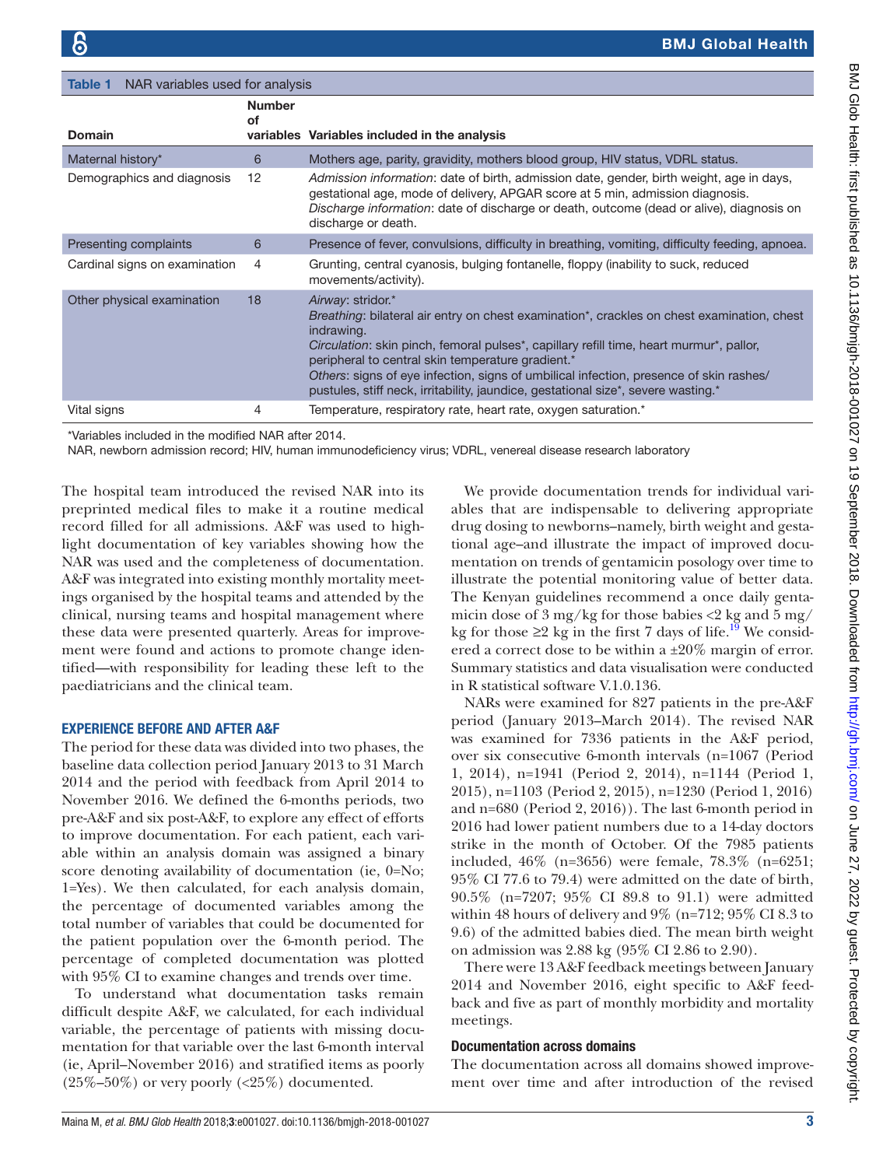<span id="page-2-0"></span>

| NAR variables used for analysis<br>Table 1 |                     |                                                                                                                                                                                                                                                                                                                                                                                                                                                                           |
|--------------------------------------------|---------------------|---------------------------------------------------------------------------------------------------------------------------------------------------------------------------------------------------------------------------------------------------------------------------------------------------------------------------------------------------------------------------------------------------------------------------------------------------------------------------|
| <b>Domain</b>                              | <b>Number</b><br>οf | variables Variables included in the analysis                                                                                                                                                                                                                                                                                                                                                                                                                              |
| Maternal history*                          | 6                   | Mothers age, parity, gravidity, mothers blood group, HIV status, VDRL status.                                                                                                                                                                                                                                                                                                                                                                                             |
| Demographics and diagnosis                 | 12                  | Admission information: date of birth, admission date, gender, birth weight, age in days,<br>gestational age, mode of delivery, APGAR score at 5 min, admission diagnosis.<br>Discharge information: date of discharge or death, outcome (dead or alive), diagnosis on<br>discharge or death.                                                                                                                                                                              |
| Presenting complaints                      | 6                   | Presence of fever, convulsions, difficulty in breathing, vomiting, difficulty feeding, apnoea.                                                                                                                                                                                                                                                                                                                                                                            |
| Cardinal signs on examination              | 4                   | Grunting, central cyanosis, bulging fontanelle, floppy (inability to suck, reduced<br>movements/activity).                                                                                                                                                                                                                                                                                                                                                                |
| Other physical examination                 | 18                  | Airway: stridor.*<br>Breathing: bilateral air entry on chest examination <sup>*</sup> , crackles on chest examination, chest<br>indrawing.<br>Circulation: skin pinch, femoral pulses*, capillary refill time, heart murmur*, pallor,<br>peripheral to central skin temperature gradient.*<br>Others: signs of eye infection, signs of umbilical infection, presence of skin rashes/<br>pustules, stiff neck, irritability, jaundice, gestational size*, severe wasting.* |
| Vital signs                                | 4                   | Temperature, respiratory rate, heart rate, oxygen saturation.*                                                                                                                                                                                                                                                                                                                                                                                                            |

\*Variables included in the modified NAR after 2014.

NAR, newborn admission record; HIV, human immunodeficiency virus; VDRL, venereal disease research laboratory

The hospital team introduced the revised NAR into its preprinted medical files to make it a routine medical record filled for all admissions. A&F was used to highlight documentation of key variables showing how the NAR was used and the completeness of documentation. A&F was integrated into existing monthly mortality meetings organised by the hospital teams and attended by the clinical, nursing teams and hospital management where these data were presented quarterly. Areas for improvement were found and actions to promote change identified—with responsibility for leading these left to the paediatricians and the clinical team.

#### Experience before and after A&F

The period for these data was divided into two phases, the baseline data collection period January 2013 to 31 March 2014 and the period with feedback from April 2014 to November 2016. We defined the 6-months periods, two pre-A&F and six post-A&F, to explore any effect of efforts to improve documentation. For each patient, each variable within an analysis domain was assigned a binary score denoting availability of documentation (ie, 0=No; 1=Yes). We then calculated, for each analysis domain, the percentage of documented variables among the total number of variables that could be documented for the patient population over the 6-month period. The percentage of completed documentation was plotted with 95% CI to examine changes and trends over time.

To understand what documentation tasks remain difficult despite A&F, we calculated, for each individual variable, the percentage of patients with missing documentation for that variable over the last 6-month interval (ie, April–November 2016) and stratified items as poorly  $(25\% - 50\%)$  or very poorly  $(\leq 25\%)$  documented.

We provide documentation trends for individual variables that are indispensable to delivering appropriate drug dosing to newborns–namely, birth weight and gestational age–and illustrate the impact of improved documentation on trends of gentamicin posology over time to illustrate the potential monitoring value of better data. The Kenyan guidelines recommend a once daily gentamicin dose of 3 mg/kg for those babies  $\langle 2 \text{ kg and } 5 \text{ mg}$ / kg for those ≥2 kg in the first 7 days of life.<sup>19</sup> We considered a correct dose to be within a  $\pm 20\%$  margin of error. Summary statistics and data visualisation were conducted in R statistical software V.1.0.136.

NARs were examined for 827 patients in the pre-A&F period (January 2013–March 2014). The revised NAR was examined for 7336 patients in the A&F period, over six consecutive 6-month intervals (n=1067 (Period 1, 2014), n=1941 (Period 2, 2014), n=1144 (Period 1, 2015), n=1103 (Period 2, 2015), n=1230 (Period 1, 2016) and n=680 (Period 2, 2016)). The last 6-month period in 2016 had lower patient numbers due to a 14-day doctors strike in the month of October. Of the 7985 patients included, 46% (n=3656) were female, 78.3% (n=6251; 95% CI 77.6 to 79.4) were admitted on the date of birth, 90.5% (n=7207; 95% CI 89.8 to 91.1) were admitted within 48 hours of delivery and 9% (n=712; 95% CI 8.3 to 9.6) of the admitted babies died. The mean birth weight on admission was 2.88 kg (95% CI 2.86 to 2.90).

There were 13 A&F feedback meetings between January 2014 and November 2016, eight specific to A&F feedback and five as part of monthly morbidity and mortality meetings.

#### Documentation across domains

The documentation across all domains showed improvement over time and after introduction of the revised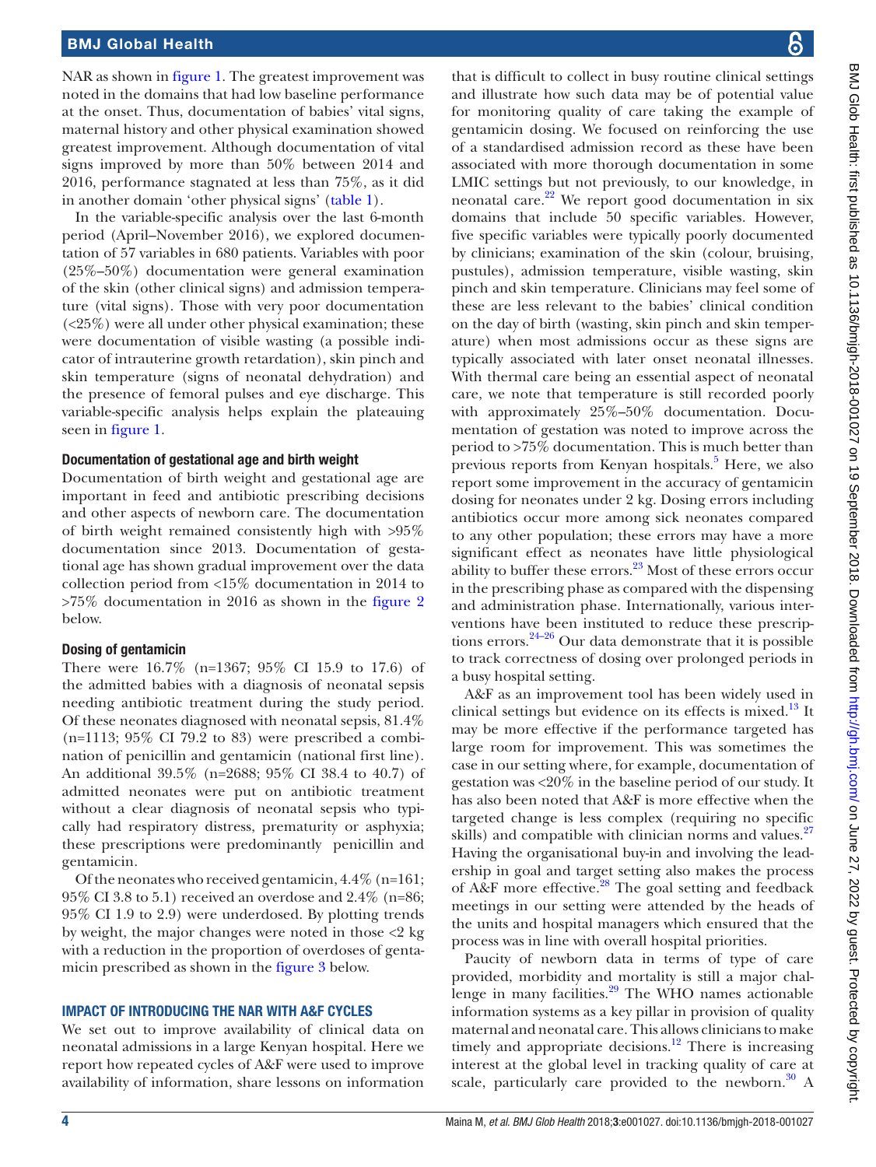NAR as shown in [figure](#page-4-0) 1. The greatest improvement was noted in the domains that had low baseline performance at the onset. Thus, documentation of babies' vital signs, maternal history and other physical examination showed greatest improvement. Although documentation of vital signs improved by more than 50% between 2014 and 2016, performance stagnated at less than 75%, as it did in another domain 'other physical signs' ([table](#page-2-0) 1).

In the variable-specific analysis over the last 6-month period (April–November 2016), we explored documentation of 57 variables in 680 patients. Variables with poor (25%–50%) documentation were general examination of the skin (other clinical signs) and admission temperature (vital signs). Those with very poor documentation (<25%) were all under other physical examination; these were documentation of visible wasting (a possible indicator of intrauterine growth retardation), skin pinch and skin temperature (signs of neonatal dehydration) and the presence of femoral pulses and eye discharge. This variable-specific analysis helps explain the plateauing seen in [figure](#page-4-0) 1.

#### Documentation of gestational age and birth weight

Documentation of birth weight and gestational age are important in feed and antibiotic prescribing decisions and other aspects of newborn care. The documentation of birth weight remained consistently high with >95% documentation since 2013. Documentation of gestational age has shown gradual improvement over the data collection period from <15% documentation in 2014 to >75% documentation in 2016 as shown in the [figure](#page-4-1) 2 below.

#### Dosing of gentamicin

There were 16.7% (n=1367; 95% CI 15.9 to 17.6) of the admitted babies with a diagnosis of neonatal sepsis needing antibiotic treatment during the study period. Of these neonates diagnosed with neonatal sepsis, 81.4%  $(n=1113; 95\% \text{ CI } 79.2 \text{ to } 83)$  were prescribed a combination of penicillin and gentamicin (national first line). An additional 39.5% (n=2688; 95% CI 38.4 to 40.7) of admitted neonates were put on antibiotic treatment without a clear diagnosis of neonatal sepsis who typically had respiratory distress, prematurity or asphyxia; these prescriptions were predominantly penicillin and gentamicin.

Of the neonates who received gentamicin, 4.4% (n=161; 95% CI 3.8 to 5.1) received an overdose and 2.4% (n=86; 95% CI 1.9 to 2.9) were underdosed. By plotting trends by weight, the major changes were noted in those  $\langle 2 \text{ kg} \rangle$ with a reduction in the proportion of overdoses of gentamicin prescribed as shown in the [figure](#page-5-6) 3 below.

### Impact of introducing the NAR with A&F cycles

We set out to improve availability of clinical data on neonatal admissions in a large Kenyan hospital. Here we report how repeated cycles of A&F were used to improve availability of information, share lessons on information

that is difficult to collect in busy routine clinical settings and illustrate how such data may be of potential value for monitoring quality of care taking the example of gentamicin dosing. We focused on reinforcing the use of a standardised admission record as these have been associated with more thorough documentation in some LMIC settings but not previously, to our knowledge, in neonatal care. $^{22}$  We report good documentation in six domains that include 50 specific variables. However, five specific variables were typically poorly documented by clinicians; examination of the skin (colour, bruising, pustules), admission temperature, visible wasting, skin pinch and skin temperature. Clinicians may feel some of these are less relevant to the babies' clinical condition on the day of birth (wasting, skin pinch and skin temperature) when most admissions occur as these signs are typically associated with later onset neonatal illnesses. With thermal care being an essential aspect of neonatal care, we note that temperature is still recorded poorly with approximately 25%–50% documentation. Documentation of gestation was noted to improve across the period to >75% documentation. This is much better than previous reports from Kenyan hospitals.<sup>5</sup> Here, we also report some improvement in the accuracy of gentamicin dosing for neonates under 2 kg. Dosing errors including antibiotics occur more among sick neonates compared to any other population; these errors may have a more significant effect as neonates have little physiological ability to buffer these errors.<sup>[23](#page-6-13)</sup> Most of these errors occur in the prescribing phase as compared with the dispensing and administration phase. Internationally, various interventions have been instituted to reduce these prescrip-tions errors.<sup>[24–26](#page-6-14)</sup> Our data demonstrate that it is possible to track correctness of dosing over prolonged periods in a busy hospital setting.

A&F as an improvement tool has been widely used in clinical settings but evidence on its effects is mixed.<sup>13</sup> It may be more effective if the performance targeted has large room for improvement. This was sometimes the case in our setting where, for example, documentation of gestation was <20% in the baseline period of our study. It has also been noted that A&F is more effective when the targeted change is less complex (requiring no specific skills) and compatible with clinician norms and values.<sup>[27](#page-6-15)</sup> Having the organisational buy-in and involving the leadership in goal and target setting also makes the process of A&F more effective.<sup>28</sup> The goal setting and feedback meetings in our setting were attended by the heads of the units and hospital managers which ensured that the process was in line with overall hospital priorities.

Paucity of newborn data in terms of type of care provided, morbidity and mortality is still a major challenge in many facilities. $29$  The WHO names actionable information systems as a key pillar in provision of quality maternal and neonatal care. This allows clinicians to make timely and appropriate decisions.<sup>[12](#page-6-3)</sup> There is increasing interest at the global level in tracking quality of care at scale, particularly care provided to the newborn. $30^{\circ}$  $30^{\circ}$  A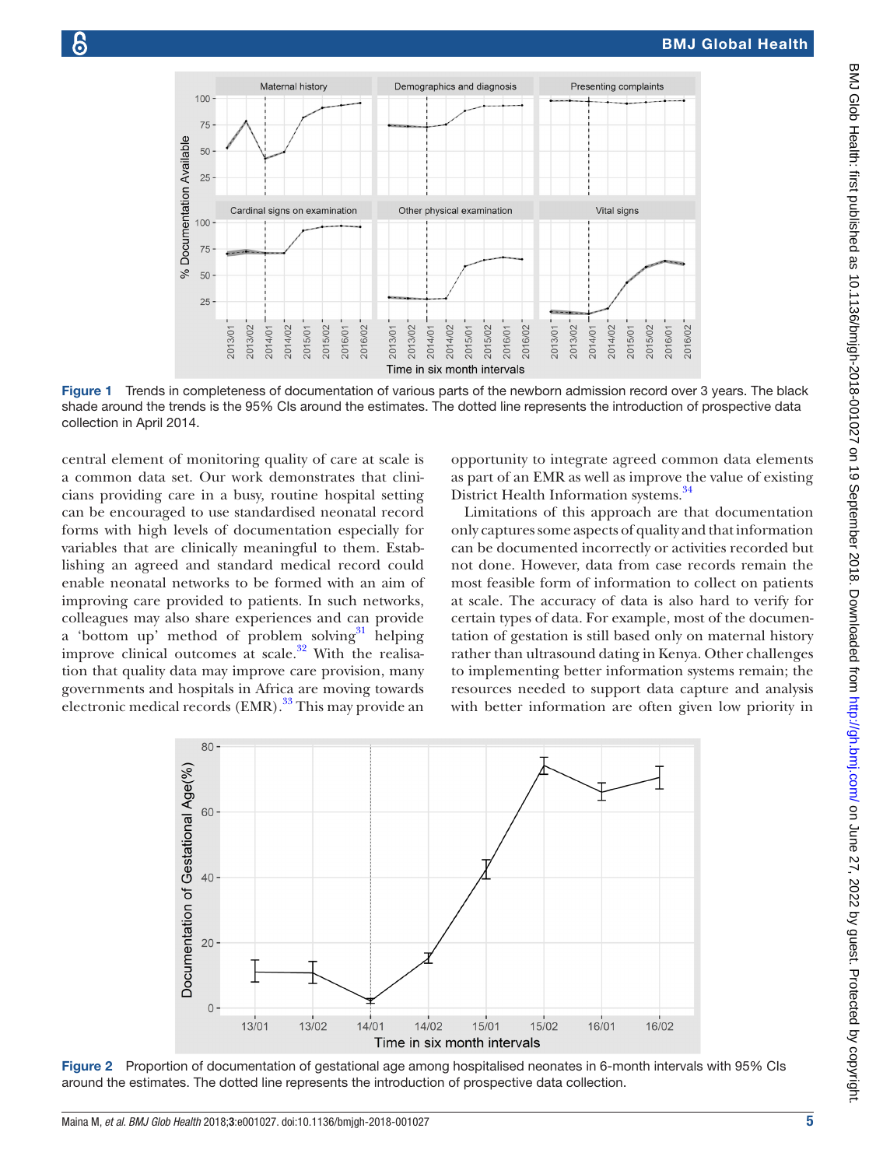

Figure 1 Trends in completeness of documentation of various parts of the newborn admission record over 3 years. The black shade around the trends is the 95% CIs around the estimates. The dotted line represents the introduction of prospective data collection in April 2014.

central element of monitoring quality of care at scale is a common data set. Our work demonstrates that clinicians providing care in a busy, routine hospital setting can be encouraged to use standardised neonatal record forms with high levels of documentation especially for variables that are clinically meaningful to them. Establishing an agreed and standard medical record could enable neonatal networks to be formed with an aim of improving care provided to patients. In such networks, colleagues may also share experiences and can provide a 'bottom up' method of problem solving $31$  helping improve clinical outcomes at scale.<sup>32</sup> With the realisation that quality data may improve care provision, many governments and hospitals in Africa are moving towards electronic medical records  $(EMR)$ .<sup>33</sup> This may provide an

<span id="page-4-0"></span>opportunity to integrate agreed common data elements as part of an EMR as well as improve the value of existing District Health Information systems[.34](#page-6-22)

Limitations of this approach are that documentation only captures some aspects of quality and that information can be documented incorrectly or activities recorded but not done. However, data from case records remain the most feasible form of information to collect on patients at scale. The accuracy of data is also hard to verify for certain types of data. For example, most of the documentation of gestation is still based only on maternal history rather than ultrasound dating in Kenya. Other challenges to implementing better information systems remain; the resources needed to support data capture and analysis with better information are often given low priority in



<span id="page-4-1"></span>Figure 2 Proportion of documentation of gestational age among hospitalised neonates in 6-month intervals with 95% CIs around the estimates. The dotted line represents the introduction of prospective data collection.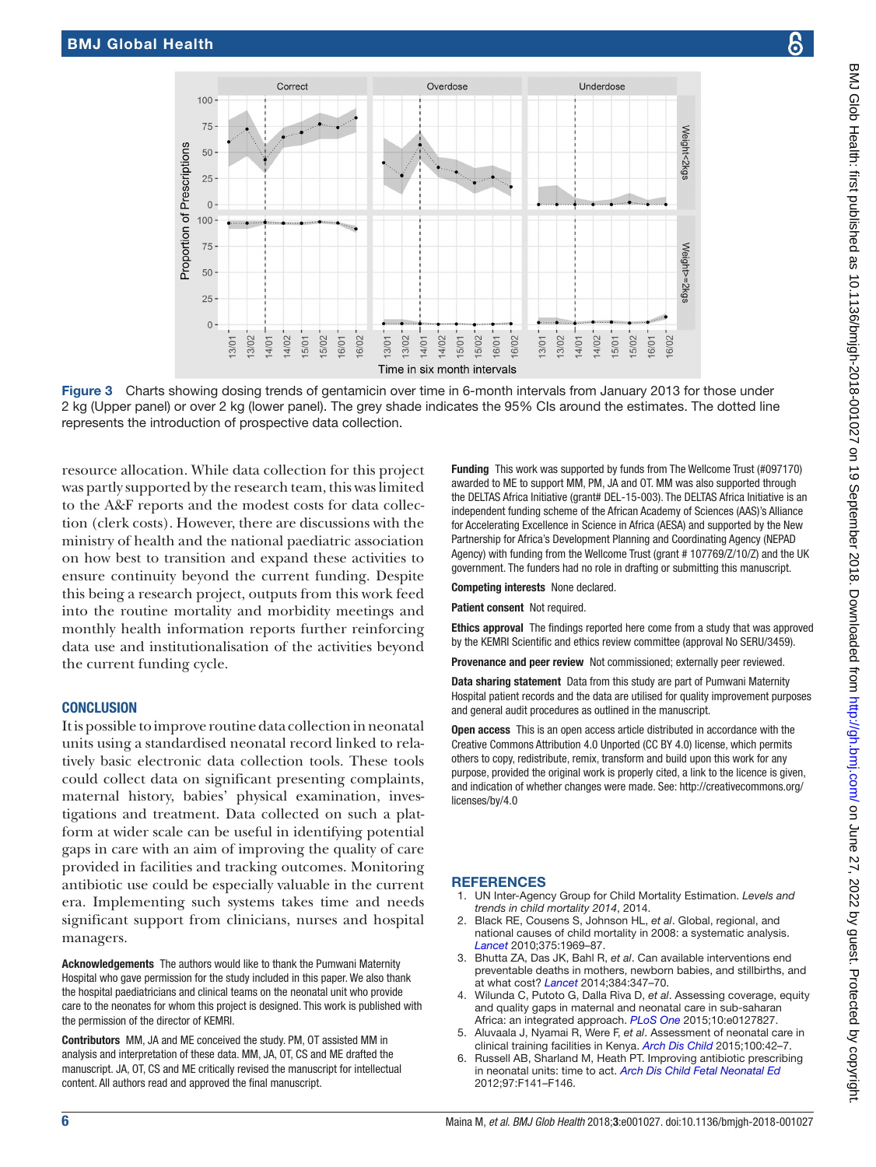

Figure 3 Charts showing dosing trends of gentamicin over time in 6-month intervals from January 2013 for those under 2 kg (Upper panel) or over 2 kg (lower panel). The grey shade indicates the 95% CIs around the estimates. The dotted line represents the introduction of prospective data collection.

resource allocation. While data collection for this project was partly supported by the research team, this was limited to the A&F reports and the modest costs for data collection (clerk costs). However, there are discussions with the ministry of health and the national paediatric association on how best to transition and expand these activities to ensure continuity beyond the current funding. Despite this being a research project, outputs from this work feed into the routine mortality and morbidity meetings and monthly health information reports further reinforcing data use and institutionalisation of the activities beyond the current funding cycle.

#### **CONCLUSION**

It is possible to improve routine data collection in neonatal units using a standardised neonatal record linked to relatively basic electronic data collection tools. These tools could collect data on significant presenting complaints, maternal history, babies' physical examination, investigations and treatment. Data collected on such a platform at wider scale can be useful in identifying potential gaps in care with an aim of improving the quality of care provided in facilities and tracking outcomes. Monitoring antibiotic use could be especially valuable in the current era. Implementing such systems takes time and needs significant support from clinicians, nurses and hospital managers.

Acknowledgements The authors would like to thank the Pumwani Maternity Hospital who gave permission for the study included in this paper. We also thank the hospital paediatricians and clinical teams on the neonatal unit who provide care to the neonates for whom this project is designed. This work is published with the permission of the director of KEMRI.

Contributors MM, JA and ME conceived the study. PM, OT assisted MM in analysis and interpretation of these data. MM, JA, OT, CS and ME drafted the manuscript. JA, OT, CS and ME critically revised the manuscript for intellectual content. All authors read and approved the final manuscript.

<span id="page-5-6"></span>Funding This work was supported by funds from The Wellcome Trust (#097170) awarded to ME to support MM, PM, JA and OT. MM was also supported through the DELTAS Africa Initiative (grant# DEL-15-003). The DELTAS Africa Initiative is an independent funding scheme of the African Academy of Sciences (AAS)'s Alliance for Accelerating Excellence in Science in Africa (AESA) and supported by the New Partnership for Africa's Development Planning and Coordinating Agency (NEPAD Agency) with funding from the Wellcome Trust (grant # 107769/Z/10/Z) and the UK government. The funders had no role in drafting or submitting this manuscript.

#### Competing interests None declared.

Patient consent Not required.

Ethics approval The findings reported here come from a study that was approved by the KEMRI Scientific and ethics review committee (approval No SERU/3459).

Provenance and peer review Not commissioned; externally peer reviewed.

Data sharing statement Data from this study are part of Pumwani Maternity Hospital patient records and the data are utilised for quality improvement purposes and general audit procedures as outlined in the manuscript.

Open access This is an open access article distributed in accordance with the Creative Commons Attribution 4.0 Unported (CC BY 4.0) license, which permits others to copy, redistribute, remix, transform and build upon this work for any purpose, provided the original work is properly cited, a link to the licence is given, and indication of whether changes were made. See: [http://creativecommons.org/](http://creativecommons.org/licenses/by/4.0) [licenses/by/4.0](http://creativecommons.org/licenses/by/4.0)

#### **REFERENCES**

- <span id="page-5-0"></span>1. UN Inter-Agency Group for Child Mortality Estimation. *Levels and trends in child mortality 2014*, 2014.
- <span id="page-5-1"></span>2. Black RE, Cousens S, Johnson HL, *et al*. Global, regional, and national causes of child mortality in 2008: a systematic analysis. *[Lancet](http://dx.doi.org/10.1016/S0140-6736(10)60549-1)* 2010;375:1969–87.
- <span id="page-5-2"></span>3. Bhutta ZA, Das JK, Bahl R, *et al*. Can available interventions end preventable deaths in mothers, newborn babies, and stillbirths, and at what cost? *[Lancet](http://dx.doi.org/10.1016/S0140-6736(14)60792-3)* 2014;384:347–70.
- <span id="page-5-3"></span>4. Wilunda C, Putoto G, Dalla Riva D, *et al*. Assessing coverage, equity and quality gaps in maternal and neonatal care in sub-saharan Africa: an integrated approach. *[PLoS One](http://dx.doi.org/10.1371/journal.pone.0127827)* 2015;10:e0127827.
- <span id="page-5-4"></span>5. Aluvaala J, Nyamai R, Were F, *et al*. Assessment of neonatal care in clinical training facilities in Kenya. *[Arch Dis Child](http://dx.doi.org/10.1136/archdischild-2014-306423)* 2015;100:42–7.
- <span id="page-5-5"></span>6. Russell AB, Sharland M, Heath PT. Improving antibiotic prescribing in neonatal units: time to act. *[Arch Dis Child Fetal Neonatal Ed](http://dx.doi.org/10.1136/adc.2007.120709)* 2012;97:F141–F146.